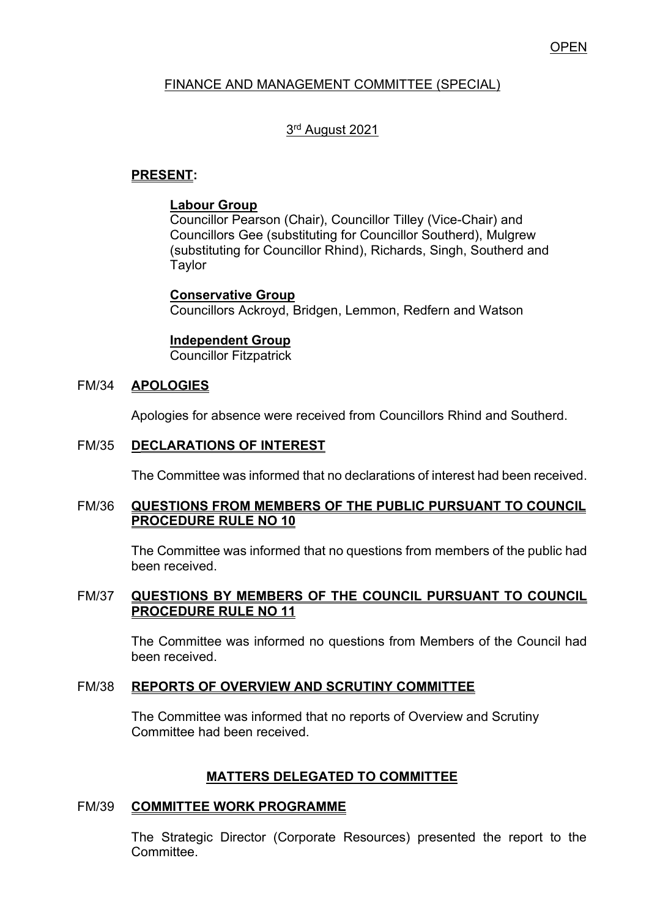## **OPEN**

## FINANCE AND MANAGEMENT COMMITTEE (SPECIAL)

# 3<sup>rd</sup> August 2021

## **PRESENT:**

### **Labour Group**

Councillor Pearson (Chair), Councillor Tilley (Vice-Chair) and Councillors Gee (substituting for Councillor Southerd), Mulgrew (substituting for Councillor Rhind), Richards, Singh, Southerd and Taylor

**Conservative Group**

Councillors Ackroyd, Bridgen, Lemmon, Redfern and Watson

### **Independent Group**

Councillor Fitzpatrick

### FM/34 **APOLOGIES**

Apologies for absence were received from Councillors Rhind and Southerd.

### FM/35 **DECLARATIONS OF INTEREST**

The Committee was informed that no declarations of interest had been received.

### FM/36 **QUESTIONS FROM MEMBERS OF THE PUBLIC PURSUANT TO COUNCIL PROCEDURE RULE NO 10**

 The Committee was informed that no questions from members of the public had been received.

### FM/37 **QUESTIONS BY MEMBERS OF THE COUNCIL PURSUANT TO COUNCIL PROCEDURE RULE NO 11**

The Committee was informed no questions from Members of the Council had been received.

#### FM/38 **REPORTS OF OVERVIEW AND SCRUTINY COMMITTEE**

The Committee was informed that no reports of Overview and Scrutiny Committee had been received.

### **MATTERS DELEGATED TO COMMITTEE**

### FM/39 **COMMITTEE WORK PROGRAMME**

The Strategic Director (Corporate Resources) presented the report to the Committee.